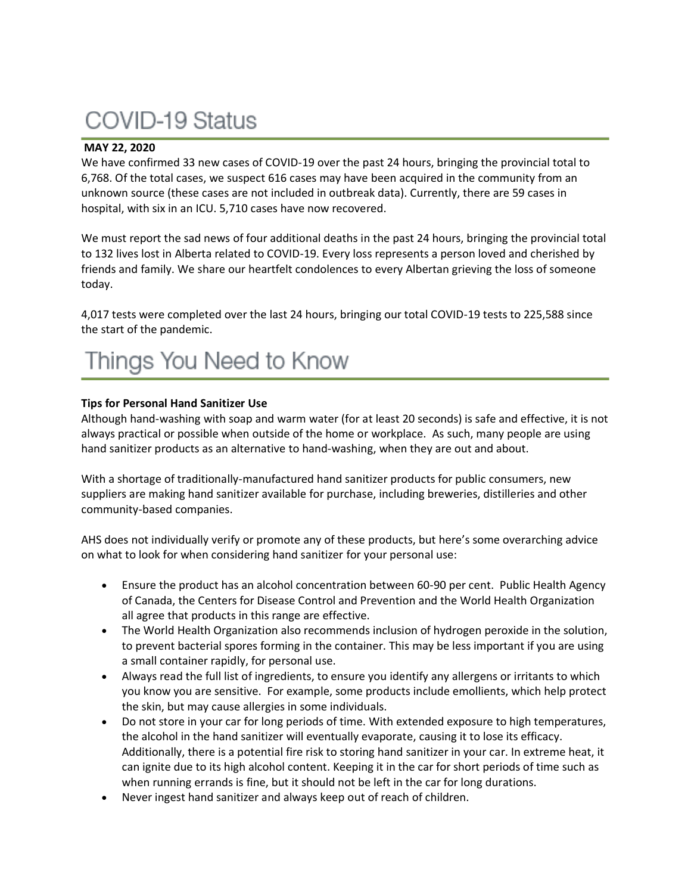# COVID-19 Status

#### **MAY 22, 2020**

We have confirmed 33 new cases of COVID-19 over the past 24 hours, bringing the provincial total to 6,768. Of the total cases, we suspect 616 cases may have been acquired in the community from an unknown source (these cases are not included in outbreak data). Currently, there are 59 cases in hospital, with six in an ICU. 5,710 cases have now recovered.

We must report the sad news of four additional deaths in the past 24 hours, bringing the provincial total to 132 lives lost in Alberta related to COVID-19. Every loss represents a person loved and cherished by friends and family. We share our heartfelt condolences to every Albertan grieving the loss of someone today.

4,017 tests were completed over the last 24 hours, bringing our total COVID-19 tests to 225,588 since the start of the pandemic.

### **Tips for Personal Hand Sanitizer Use**

Although hand-washing with soap and warm water (for at least 20 seconds) is safe and effective, it is not always practical or possible when outside of the home or workplace. As such, many people are using hand sanitizer products as an alternative to hand-washing, when they are out and about.

With a shortage of traditionally-manufactured hand sanitizer products for public consumers, new suppliers are making hand sanitizer available for purchase, including breweries, distilleries and other community-based companies.

AHS does not individually verify or promote any of these products, but here's some overarching advice on what to look for when considering hand sanitizer for your personal use:

- Ensure the product has an alcohol concentration between 60-90 per cent. Public Health Agency of Canada, the Centers for Disease Control and Prevention and the World Health Organization all agree that products in this range are effective.
- The World Health Organization also recommends inclusion of hydrogen peroxide in the solution, to prevent bacterial spores forming in the container. This may be less important if you are using a small container rapidly, for personal use.
- Always read the full list of ingredients, to ensure you identify any allergens or irritants to which you know you are sensitive. For example, some products include emollients, which help protect the skin, but may cause allergies in some individuals.
- Do not store in your car for long periods of time. With extended exposure to high temperatures, the alcohol in the hand sanitizer will eventually evaporate, causing it to lose its efficacy. Additionally, there is a potential fire risk to storing hand sanitizer in your car. In extreme heat, it can ignite due to its high alcohol content. Keeping it in the car for short periods of time such as when running errands is fine, but it should not be left in the car for long durations.
- Never ingest hand sanitizer and always keep out of reach of children.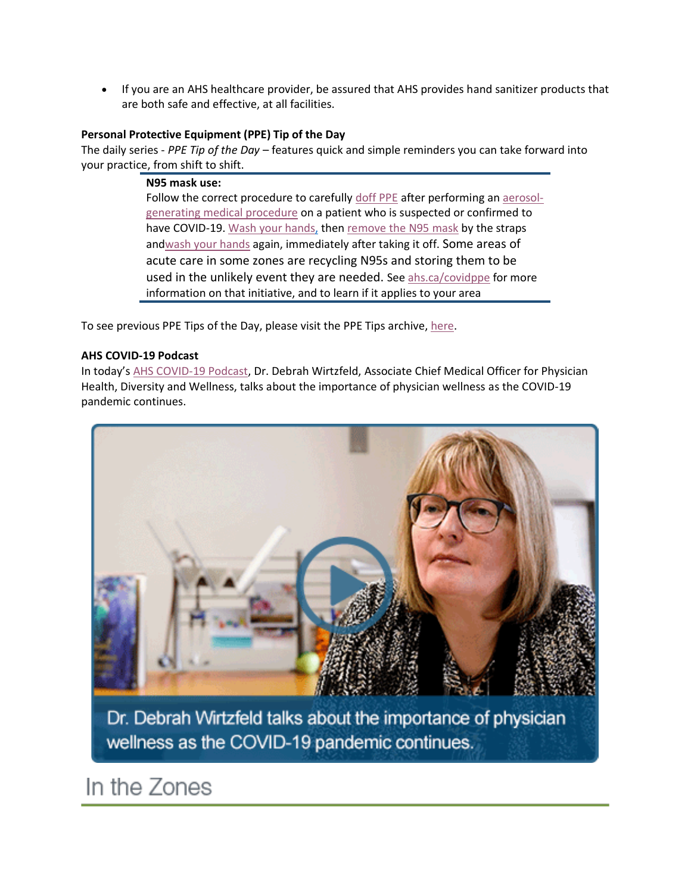• If you are an AHS healthcare provider, be assured that AHS provides hand sanitizer products that are both safe and effective, at all facilities.

#### **Personal Protective Equipment (PPE) Tip of the Day**

The daily series - *PPE Tip of the Day* – features quick and simple reminders you can take forward into your practice, from shift to shift.

#### **N95 mask use:**

Follow the correct procedure to carefully [doff PPE](https://www.albertahealthservices.ca/assets/Infofor/hp/if-hp-ipc-doffing-ppe-poster.pdf) after performing an [aerosol](https://www.albertahealthservices.ca/assets/healthinfo/ipc/hi-ipc-respiratory-additional-precautions-assessment.pdf#_blank)[generating medical procedure](https://www.albertahealthservices.ca/assets/healthinfo/ipc/hi-ipc-respiratory-additional-precautions-assessment.pdf#_blank) on a patient who is suspected or confirmed to have COVID-19. [Wash your hands,](https://www.albertahealthservices.ca/assets/healthinfo/ipc/if-hp-ipc-flu-handwash-how-to.pdf) then [remove the N95 mask](https://ahamms01.https.internapcdn.net/ahamms01/Content/AHS_Website/Information_For/if-hp-ipc-donning-and-doffing.mp4) by the straps an[dwash your hands](https://www.albertahealthservices.ca/assets/healthinfo/ipc/if-hp-ipc-flu-handwash-how-to.pdf) again, immediately after taking it off. Some areas of acute care in some zones are recycling N95s and storing them to be used in the unlikely event they are needed. See [ahs.ca/covidppe](https://www.albertahealthservices.ca/topics/Page17048.aspx) for more information on that initiative, and to learn if it applies to your area

To see previous PPE Tips of the Day, please visit the PPE Tips archive, [here.](https://www.albertahealthservices.ca/topics/Page17119.aspx)

#### **AHS COVID-19 Podcast**

In today's [AHS COVID-19 Podcast,](applewebdata://A94119DC-E39B-4BB1-9ABB-AD1A983C5B96/ahs.ca/covidpodcast) Dr. Debrah Wirtzfeld, Associate Chief Medical Officer for Physician Health, Diversity and Wellness, talks about the importance of physician wellness as the COVID-19 pandemic continues.



Dr. Debrah Wirtzfeld talks about the importance of physician wellness as the COVID-19 pandemic continues.

### In the Zones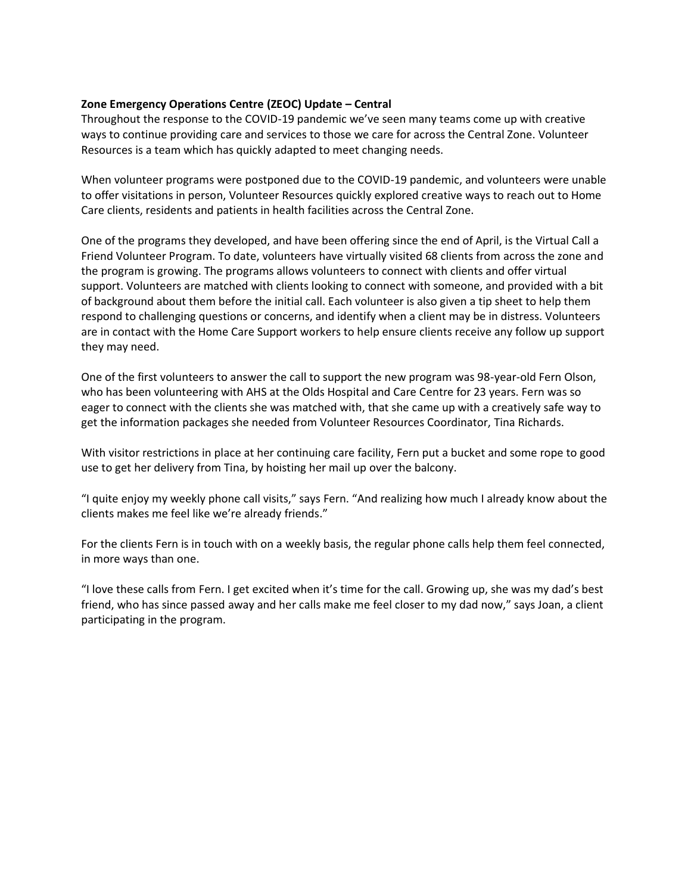#### **Zone Emergency Operations Centre (ZEOC) Update – Central**

Throughout the response to the COVID-19 pandemic we've seen many teams come up with creative ways to continue providing care and services to those we care for across the Central Zone. Volunteer Resources is a team which has quickly adapted to meet changing needs.

When volunteer programs were postponed due to the COVID-19 pandemic, and volunteers were unable to offer visitations in person, Volunteer Resources quickly explored creative ways to reach out to Home Care clients, residents and patients in health facilities across the Central Zone.

One of the programs they developed, and have been offering since the end of April, is the Virtual Call a Friend Volunteer Program. To date, volunteers have virtually visited 68 clients from across the zone and the program is growing. The programs allows volunteers to connect with clients and offer virtual support. Volunteers are matched with clients looking to connect with someone, and provided with a bit of background about them before the initial call. Each volunteer is also given a tip sheet to help them respond to challenging questions or concerns, and identify when a client may be in distress. Volunteers are in contact with the Home Care Support workers to help ensure clients receive any follow up support they may need.

One of the first volunteers to answer the call to support the new program was 98-year-old Fern Olson, who has been volunteering with AHS at the Olds Hospital and Care Centre for 23 years. Fern was so eager to connect with the clients she was matched with, that she came up with a creatively safe way to get the information packages she needed from Volunteer Resources Coordinator, Tina Richards.

With visitor restrictions in place at her continuing care facility, Fern put a bucket and some rope to good use to get her delivery from Tina, by hoisting her mail up over the balcony.

"I quite enjoy my weekly phone call visits," says Fern. "And realizing how much I already know about the clients makes me feel like we're already friends."

For the clients Fern is in touch with on a weekly basis, the regular phone calls help them feel connected, in more ways than one.

"I love these calls from Fern. I get excited when it's time for the call. Growing up, she was my dad's best friend, who has since passed away and her calls make me feel closer to my dad now," says Joan, a client participating in the program.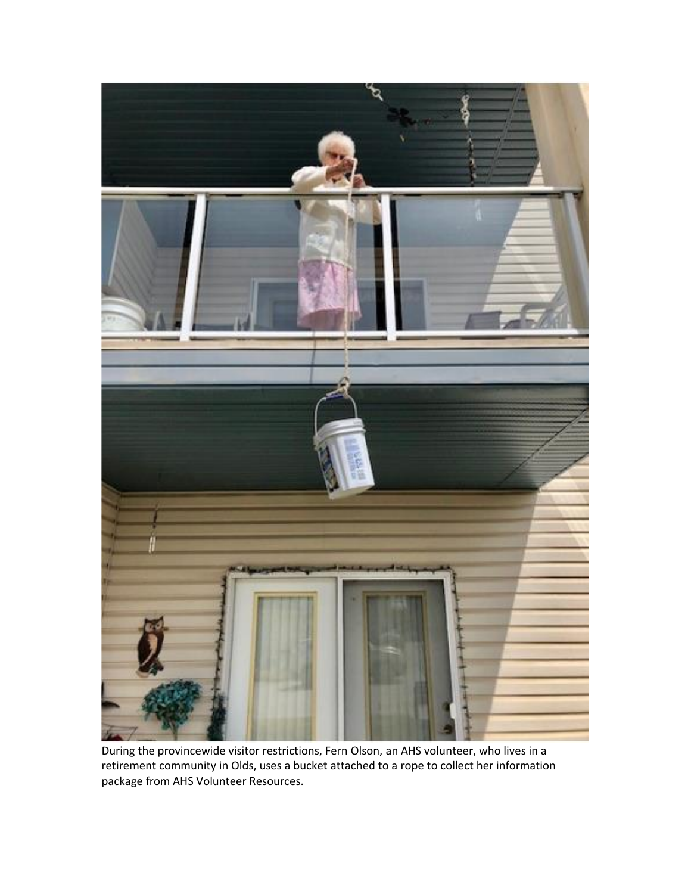

During the provincewide visitor restrictions, Fern Olson, an AHS volunteer, who lives in a retirement community in Olds, uses a bucket attached to a rope to collect her information package from AHS Volunteer Resources.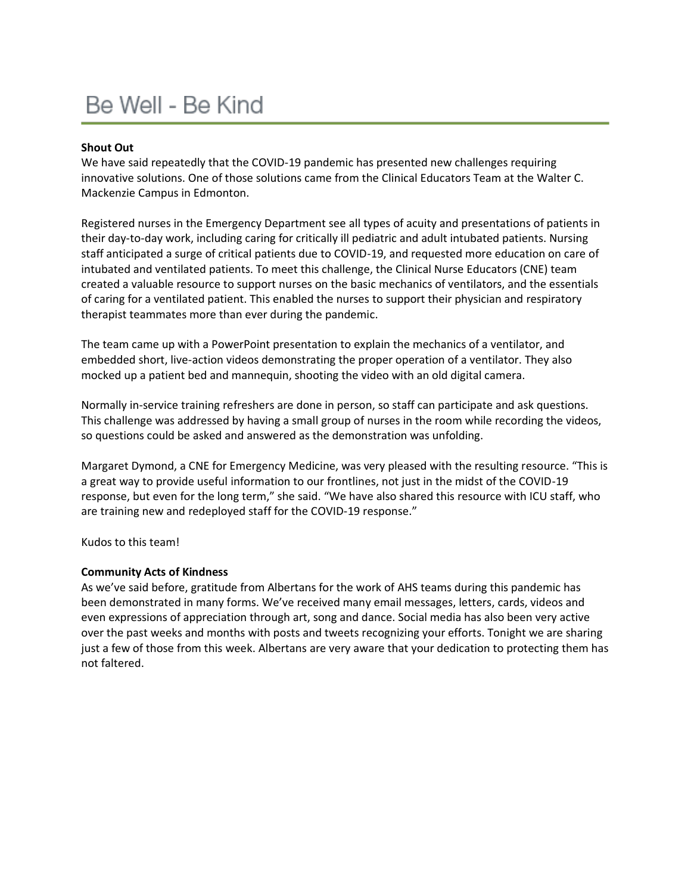## Be Well - Be Kind

#### **Shout Out**

We have said repeatedly that the COVID-19 pandemic has presented new challenges requiring innovative solutions. One of those solutions came from the Clinical Educators Team at the Walter C. Mackenzie Campus in Edmonton.

Registered nurses in the Emergency Department see all types of acuity and presentations of patients in their day-to-day work, including caring for critically ill pediatric and adult intubated patients. Nursing staff anticipated a surge of critical patients due to COVID-19, and requested more education on care of intubated and ventilated patients. To meet this challenge, the Clinical Nurse Educators (CNE) team created a valuable resource to support nurses on the basic mechanics of ventilators, and the essentials of caring for a ventilated patient. This enabled the nurses to support their physician and respiratory therapist teammates more than ever during the pandemic.

The team came up with a PowerPoint presentation to explain the mechanics of a ventilator, and embedded short, live-action videos demonstrating the proper operation of a ventilator. They also mocked up a patient bed and mannequin, shooting the video with an old digital camera.

Normally in-service training refreshers are done in person, so staff can participate and ask questions. This challenge was addressed by having a small group of nurses in the room while recording the videos, so questions could be asked and answered as the demonstration was unfolding.

Margaret Dymond, a CNE for Emergency Medicine, was very pleased with the resulting resource. "This is a great way to provide useful information to our frontlines, not just in the midst of the COVID-19 response, but even for the long term," she said. "We have also shared this resource with ICU staff, who are training new and redeployed staff for the COVID-19 response."

Kudos to this team!

#### **Community Acts of Kindness**

As we've said before, gratitude from Albertans for the work of AHS teams during this pandemic has been demonstrated in many forms. We've received many email messages, letters, cards, videos and even expressions of appreciation through art, song and dance. Social media has also been very active over the past weeks and months with posts and tweets recognizing your efforts. Tonight we are sharing just a few of those from this week. Albertans are very aware that your dedication to protecting them has not faltered.